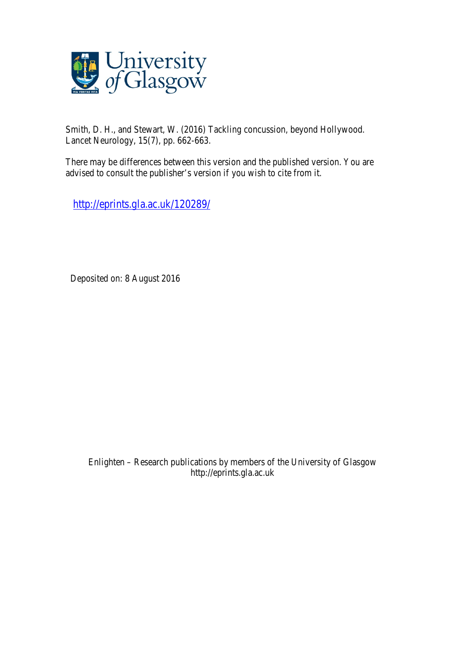

Smith, D. H., and Stewart, W. (2016) Tackling concussion, beyond Hollywood. Lancet Neurology, 15(7), pp. 662-663.

There may be differences between this version and the published version. You are advised to consult the publisher's version if you wish to cite from it.

http://eprints.gla.ac.uk/120289/

Deposited on: 8 August 2016

Enlighten – Research publications by members of the University of Glasgow http://eprints.gla.ac.uk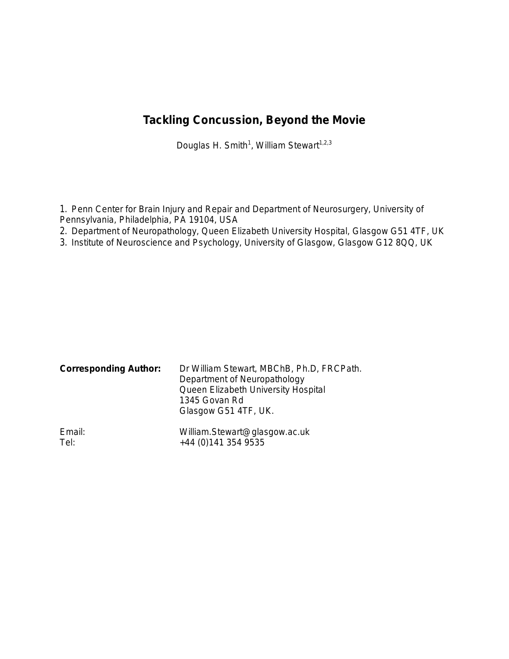## **Tackling Concussion, Beyond the Movie**

Douglas H. Smith<sup>1</sup>, William Stewart<sup>1,2,3</sup>

1. Penn Center for Brain Injury and Repair and Department of Neurosurgery, University of Pennsylvania, Philadelphia, PA 19104, USA

- 2. Department of Neuropathology, Queen Elizabeth University Hospital, Glasgow G51 4TF, UK
- 3. Institute of Neuroscience and Psychology, University of Glasgow, Glasgow G12 8QQ, UK

| <b>Corresponding Author:</b> | Dr William Stewart, MBChB, Ph.D, FRCPath.<br>Department of Neuropathology<br>Queen Elizabeth University Hospital<br>1345 Govan Rd<br>Glasgow G51 4TF, UK. |
|------------------------------|-----------------------------------------------------------------------------------------------------------------------------------------------------------|
| Email:                       | William.Stewart@glasgow.ac.uk                                                                                                                             |
| Tel:                         | +44 (0) 141 354 9535                                                                                                                                      |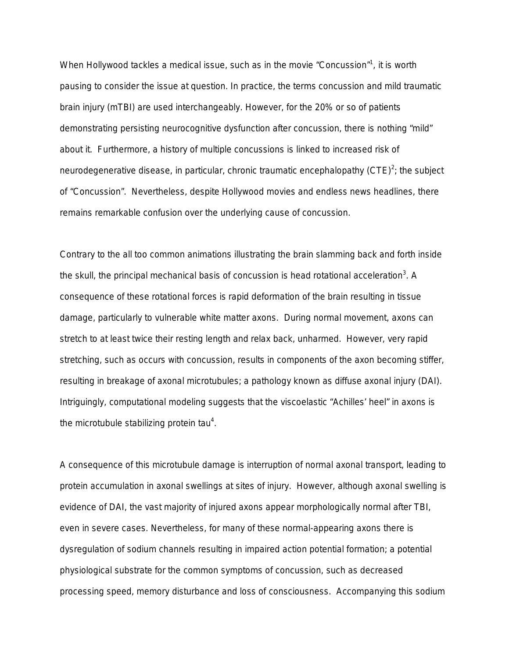When Hollywood tackles a medical issue, such as in the movie "Concussion"<sup>1</sup>, it is worth pausing to consider the issue at question. In practice, the terms concussion and mild traumatic brain injury (mTBI) are used interchangeably. However, for the 20% or so of patients demonstrating persisting neurocognitive dysfunction after concussion, there is nothing "mild" about it. Furthermore, a history of multiple concussions is linked to increased risk of neurodegenerative disease, in particular, chronic traumatic encephalopathy (CTE)<sup>2</sup>; the subject of "Concussion". Nevertheless, despite Hollywood movies and endless news headlines, there remains remarkable confusion over the underlying cause of concussion.

Contrary to the all too common animations illustrating the brain slamming back and forth inside the skull, the principal mechanical basis of concussion is head rotational acceleration<sup>3</sup>. A consequence of these rotational forces is rapid deformation of the brain resulting in tissue damage, particularly to vulnerable white matter axons. During normal movement, axons can stretch to at least twice their resting length and relax back, unharmed. However, very rapid stretching, such as occurs with concussion, results in components of the axon becoming stiffer, resulting in breakage of axonal microtubules; a pathology known as diffuse axonal injury (DAI). Intriguingly, computational modeling suggests that the viscoelastic "Achilles' heel" in axons is the microtubule stabilizing protein tau<sup>4</sup>.

A consequence of this microtubule damage is interruption of normal axonal transport, leading to protein accumulation in axonal swellings at sites of injury. However, although axonal swelling is evidence of DAI, the vast majority of injured axons appear morphologically normal after TBI, even in severe cases. Nevertheless, for many of these normal-appearing axons there is dysregulation of sodium channels resulting in impaired action potential formation; a potential physiological substrate for the common symptoms of concussion, such as decreased processing speed, memory disturbance and loss of consciousness. Accompanying this sodium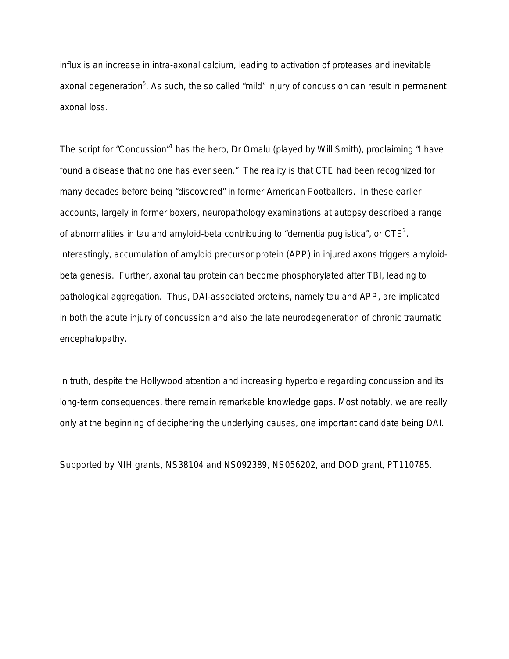influx is an increase in intra-axonal calcium, leading to activation of proteases and inevitable axonal degeneration<sup>5</sup>. As such, the so called "mild" injury of concussion can result in permanent axonal loss.

The script for "Concussion"<sup>1</sup> has the hero, Dr Omalu (played by Will Smith), proclaiming "I have found a disease that no one has ever seen." The reality is that CTE had been recognized for many decades before being "discovered" in former American Footballers. In these earlier accounts, largely in former boxers, neuropathology examinations at autopsy described a range of abnormalities in tau and amyloid-beta contributing to "dementia puglistica", or  $\text{CTE}^2$ . Interestingly, accumulation of amyloid precursor protein (APP) in injured axons triggers amyloidbeta genesis. Further, axonal tau protein can become phosphorylated after TBI, leading to pathological aggregation. Thus, DAI-associated proteins, namely tau and APP, are implicated in both the acute injury of concussion and also the late neurodegeneration of chronic traumatic encephalopathy.

In truth, despite the Hollywood attention and increasing hyperbole regarding concussion and its long-term consequences, there remain remarkable knowledge gaps. Most notably, we are really only at the beginning of deciphering the underlying causes, one important candidate being DAI.

Supported by NIH grants, NS38104 and NS092389, NS056202, and DOD grant, PT110785.